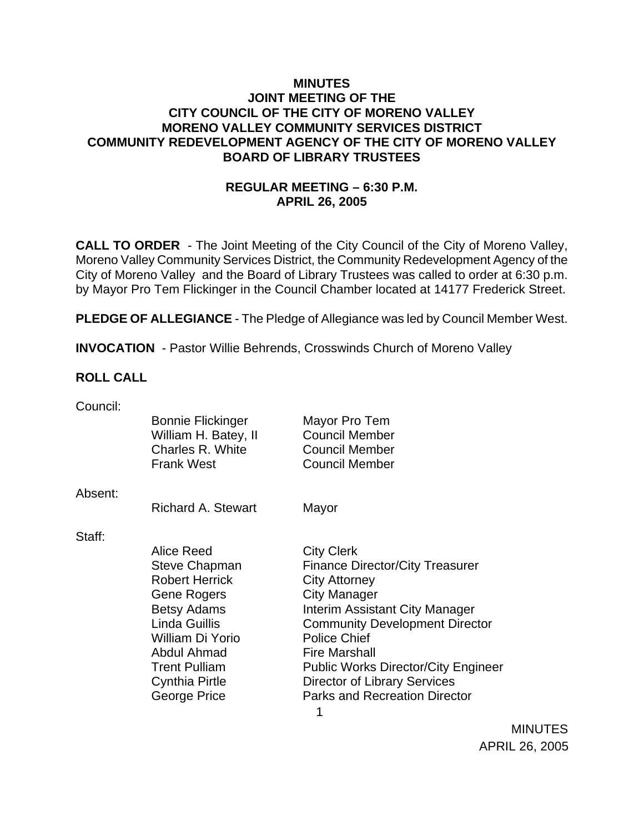## **MINUTES JOINT MEETING OF THE CITY COUNCIL OF THE CITY OF MORENO VALLEY MORENO VALLEY COMMUNITY SERVICES DISTRICT COMMUNITY REDEVELOPMENT AGENCY OF THE CITY OF MORENO VALLEY BOARD OF LIBRARY TRUSTEES**

# **REGULAR MEETING – 6:30 P.M. APRIL 26, 2005**

**CALL TO ORDER** - The Joint Meeting of the City Council of the City of Moreno Valley, Moreno Valley Community Services District, the Community Redevelopment Agency of the City of Moreno Valley and the Board of Library Trustees was called to order at 6:30 p.m. by Mayor Pro Tem Flickinger in the Council Chamber located at 14177 Frederick Street.

**PLEDGE OF ALLEGIANCE** - The Pledge of Allegiance was led by Council Member West.

**INVOCATION** - Pastor Willie Behrends, Crosswinds Church of Moreno Valley

#### **ROLL CALL**

| Council: |                          |                                            |
|----------|--------------------------|--------------------------------------------|
|          | <b>Bonnie Flickinger</b> | Mayor Pro Tem                              |
|          | William H. Batey, II     | <b>Council Member</b>                      |
|          | Charles R. White         | <b>Council Member</b>                      |
|          | <b>Frank West</b>        | <b>Council Member</b>                      |
|          |                          |                                            |
| Absent:  | Richard A. Stewart       |                                            |
|          |                          | Mayor                                      |
| Staff:   |                          |                                            |
|          | Alice Reed               | <b>City Clerk</b>                          |
|          | Steve Chapman            | <b>Finance Director/City Treasurer</b>     |
|          | <b>Robert Herrick</b>    | <b>City Attorney</b>                       |
|          | Gene Rogers              | <b>City Manager</b>                        |
|          | <b>Betsy Adams</b>       | Interim Assistant City Manager             |
|          | Linda Guillis            | <b>Community Development Director</b>      |
|          | William Di Yorio         | <b>Police Chief</b>                        |
|          | Abdul Ahmad              | <b>Fire Marshall</b>                       |
|          | <b>Trent Pulliam</b>     | <b>Public Works Director/City Engineer</b> |
|          | Cynthia Pirtle           | <b>Director of Library Services</b>        |
|          | George Price             | <b>Parks and Recreation Director</b>       |
|          |                          |                                            |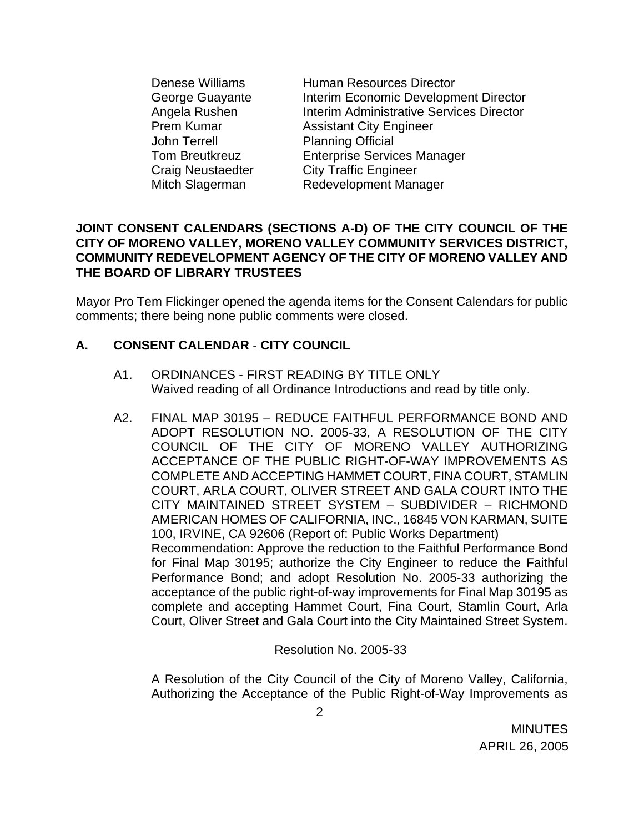John Terrell Planning Official

Denese Williams **Human Resources Director** George Guayante **Interim Economic Development Director** Angela Rushen **Interim Administrative Services Director** Prem Kumar **Assistant City Engineer** Tom Breutkreuz Enterprise Services Manager Craig Neustaedter City Traffic Engineer Mitch Slagerman Redevelopment Manager

#### **JOINT CONSENT CALENDARS (SECTIONS A-D) OF THE CITY COUNCIL OF THE CITY OF MORENO VALLEY, MORENO VALLEY COMMUNITY SERVICES DISTRICT, COMMUNITY REDEVELOPMENT AGENCY OF THE CITY OF MORENO VALLEY AND THE BOARD OF LIBRARY TRUSTEES**

Mayor Pro Tem Flickinger opened the agenda items for the Consent Calendars for public comments; there being none public comments were closed.

# **A. CONSENT CALENDAR** - **CITY COUNCIL**

- A1. ORDINANCES FIRST READING BY TITLE ONLY Waived reading of all Ordinance Introductions and read by title only.
- A2. FINAL MAP 30195 REDUCE FAITHFUL PERFORMANCE BOND AND ADOPT RESOLUTION NO. 2005-33, A RESOLUTION OF THE CITY COUNCIL OF THE CITY OF MORENO VALLEY AUTHORIZING ACCEPTANCE OF THE PUBLIC RIGHT-OF-WAY IMPROVEMENTS AS COMPLETE AND ACCEPTING HAMMET COURT, FINA COURT, STAMLIN COURT, ARLA COURT, OLIVER STREET AND GALA COURT INTO THE CITY MAINTAINED STREET SYSTEM – SUBDIVIDER – RICHMOND AMERICAN HOMES OF CALIFORNIA, INC., 16845 VON KARMAN, SUITE 100, IRVINE, CA 92606 (Report of: Public Works Department) Recommendation: Approve the reduction to the Faithful Performance Bond for Final Map 30195; authorize the City Engineer to reduce the Faithful Performance Bond; and adopt Resolution No. 2005-33 authorizing the acceptance of the public right-of-way improvements for Final Map 30195 as complete and accepting Hammet Court, Fina Court, Stamlin Court, Arla Court, Oliver Street and Gala Court into the City Maintained Street System.

Resolution No. 2005-33

 A Resolution of the City Council of the City of Moreno Valley, California, Authorizing the Acceptance of the Public Right-of-Way Improvements as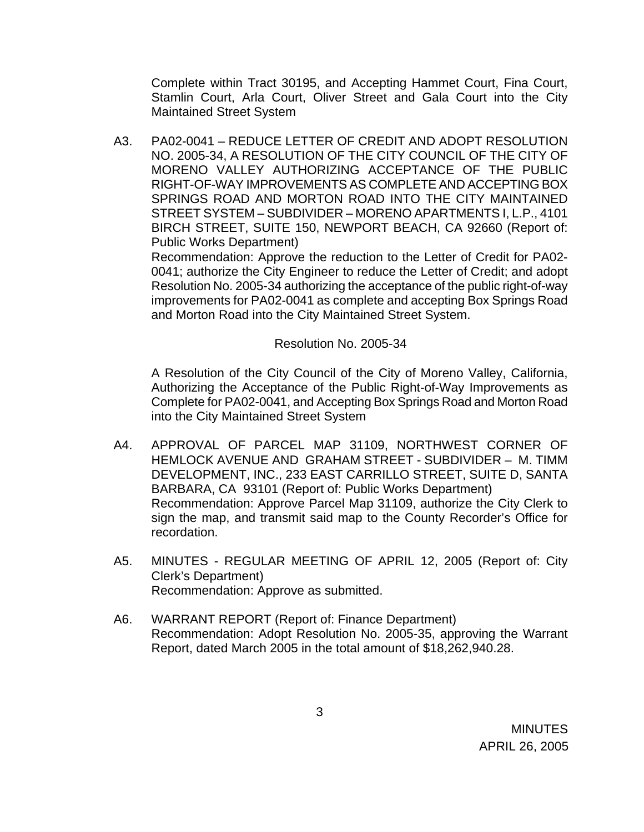Complete within Tract 30195, and Accepting Hammet Court, Fina Court, Stamlin Court, Arla Court, Oliver Street and Gala Court into the City Maintained Street System

A3. PA02-0041 – REDUCE LETTER OF CREDIT AND ADOPT RESOLUTION NO. 2005-34, A RESOLUTION OF THE CITY COUNCIL OF THE CITY OF MORENO VALLEY AUTHORIZING ACCEPTANCE OF THE PUBLIC RIGHT-OF-WAY IMPROVEMENTS AS COMPLETE AND ACCEPTING BOX SPRINGS ROAD AND MORTON ROAD INTO THE CITY MAINTAINED STREET SYSTEM – SUBDIVIDER – MORENO APARTMENTS I, L.P., 4101 BIRCH STREET, SUITE 150, NEWPORT BEACH, CA 92660 (Report of: Public Works Department)

 Recommendation: Approve the reduction to the Letter of Credit for PA02- 0041; authorize the City Engineer to reduce the Letter of Credit; and adopt Resolution No. 2005-34 authorizing the acceptance of the public right-of-way improvements for PA02-0041 as complete and accepting Box Springs Road and Morton Road into the City Maintained Street System.

Resolution No. 2005-34

 A Resolution of the City Council of the City of Moreno Valley, California, Authorizing the Acceptance of the Public Right-of-Way Improvements as Complete for PA02-0041, and Accepting Box Springs Road and Morton Road into the City Maintained Street System

- A4. APPROVAL OF PARCEL MAP 31109, NORTHWEST CORNER OF HEMLOCK AVENUE AND GRAHAM STREET - SUBDIVIDER – M. TIMM DEVELOPMENT, INC., 233 EAST CARRILLO STREET, SUITE D, SANTA BARBARA, CA 93101 (Report of: Public Works Department) Recommendation: Approve Parcel Map 31109, authorize the City Clerk to sign the map, and transmit said map to the County Recorder's Office for recordation.
- A5. MINUTES REGULAR MEETING OF APRIL 12, 2005 (Report of: City Clerk's Department) Recommendation: Approve as submitted.
- A6. WARRANT REPORT (Report of: Finance Department) Recommendation: Adopt Resolution No. 2005-35, approving the Warrant Report, dated March 2005 in the total amount of \$18,262,940.28.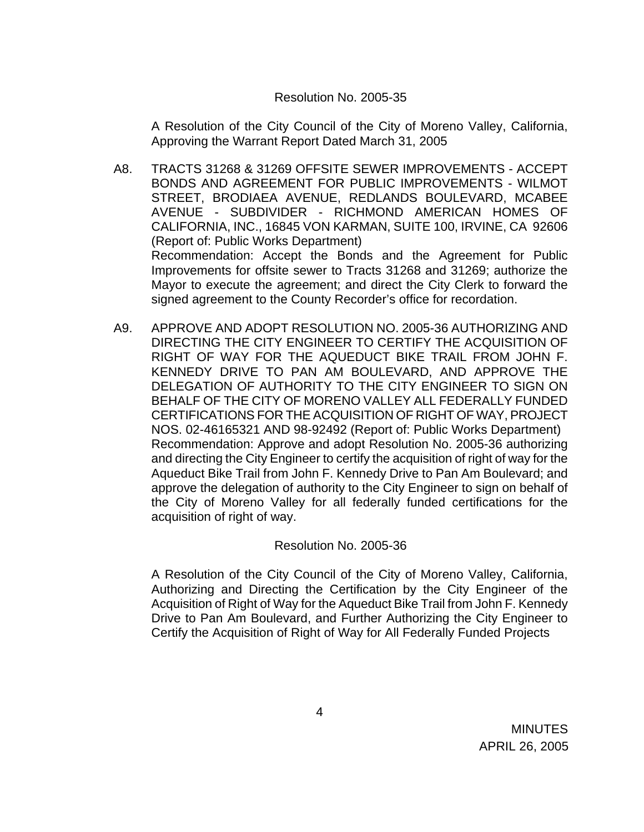#### Resolution No. 2005-35

 A Resolution of the City Council of the City of Moreno Valley, California, Approving the Warrant Report Dated March 31, 2005

- A8. TRACTS 31268 & 31269 OFFSITE SEWER IMPROVEMENTS ACCEPT BONDS AND AGREEMENT FOR PUBLIC IMPROVEMENTS - WILMOT STREET, BRODIAEA AVENUE, REDLANDS BOULEVARD, MCABEE AVENUE - SUBDIVIDER - RICHMOND AMERICAN HOMES OF CALIFORNIA, INC., 16845 VON KARMAN, SUITE 100, IRVINE, CA 92606 (Report of: Public Works Department) Recommendation: Accept the Bonds and the Agreement for Public Improvements for offsite sewer to Tracts 31268 and 31269; authorize the Mayor to execute the agreement; and direct the City Clerk to forward the signed agreement to the County Recorder's office for recordation.
- A9. APPROVE AND ADOPT RESOLUTION NO. 2005-36 AUTHORIZING AND DIRECTING THE CITY ENGINEER TO CERTIFY THE ACQUISITION OF RIGHT OF WAY FOR THE AQUEDUCT BIKE TRAIL FROM JOHN F. KENNEDY DRIVE TO PAN AM BOULEVARD, AND APPROVE THE DELEGATION OF AUTHORITY TO THE CITY ENGINEER TO SIGN ON BEHALF OF THE CITY OF MORENO VALLEY ALL FEDERALLY FUNDED CERTIFICATIONS FOR THE ACQUISITION OF RIGHT OF WAY, PROJECT NOS. 02-46165321 AND 98-92492 (Report of: Public Works Department) Recommendation: Approve and adopt Resolution No. 2005-36 authorizing and directing the City Engineer to certify the acquisition of right of way for the Aqueduct Bike Trail from John F. Kennedy Drive to Pan Am Boulevard; and approve the delegation of authority to the City Engineer to sign on behalf of the City of Moreno Valley for all federally funded certifications for the acquisition of right of way.

#### Resolution No. 2005-36

 A Resolution of the City Council of the City of Moreno Valley, California, Authorizing and Directing the Certification by the City Engineer of the Acquisition of Right of Way for the Aqueduct Bike Trail from John F. Kennedy Drive to Pan Am Boulevard, and Further Authorizing the City Engineer to Certify the Acquisition of Right of Way for All Federally Funded Projects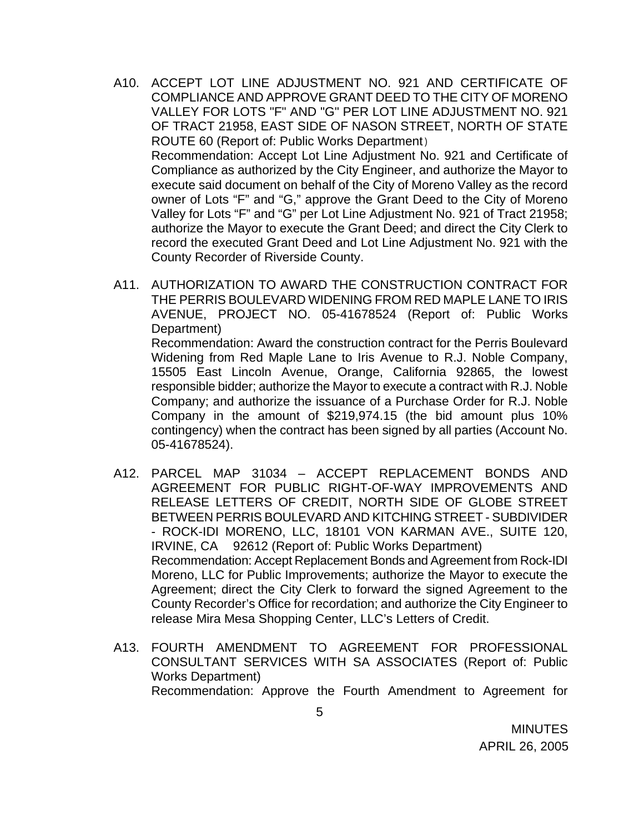A10. ACCEPT LOT LINE ADJUSTMENT NO. 921 AND CERTIFICATE OF COMPLIANCE AND APPROVE GRANT DEED TO THE CITY OF MORENO VALLEY FOR LOTS "F" AND "G" PER LOT LINE ADJUSTMENT NO. 921 OF TRACT 21958, EAST SIDE OF NASON STREET, NORTH OF STATE ROUTE 60 (Report of: Public Works Department) Recommendation: Accept Lot Line Adjustment No. 921 and Certificate of Compliance as authorized by the City Engineer, and authorize the Mayor to execute said document on behalf of the City of Moreno Valley as the record owner of Lots "F" and "G," approve the Grant Deed to the City of Moreno Valley for Lots "F" and "G" per Lot Line Adjustment No. 921 of Tract 21958; authorize the Mayor to execute the Grant Deed; and direct the City Clerk to

County Recorder of Riverside County.

record the executed Grant Deed and Lot Line Adjustment No. 921 with the

- A11. AUTHORIZATION TO AWARD THE CONSTRUCTION CONTRACT FOR THE PERRIS BOULEVARD WIDENING FROM RED MAPLE LANE TO IRIS AVENUE, PROJECT NO. 05-41678524 (Report of: Public Works Department) Recommendation: Award the construction contract for the Perris Boulevard Widening from Red Maple Lane to Iris Avenue to R.J. Noble Company, 15505 East Lincoln Avenue, Orange, California 92865, the lowest responsible bidder; authorize the Mayor to execute a contract with R.J. Noble Company; and authorize the issuance of a Purchase Order for R.J. Noble Company in the amount of \$219,974.15 (the bid amount plus 10% contingency) when the contract has been signed by all parties (Account No. 05-41678524).
- A12. PARCEL MAP 31034 ACCEPT REPLACEMENT BONDS AND AGREEMENT FOR PUBLIC RIGHT-OF-WAY IMPROVEMENTS AND RELEASE LETTERS OF CREDIT, NORTH SIDE OF GLOBE STREET BETWEEN PERRIS BOULEVARD AND KITCHING STREET - SUBDIVIDER - ROCK-IDI MORENO, LLC, 18101 VON KARMAN AVE., SUITE 120, IRVINE, CA 92612 (Report of: Public Works Department) Recommendation: Accept Replacement Bonds and Agreement from Rock-IDI Moreno, LLC for Public Improvements; authorize the Mayor to execute the Agreement; direct the City Clerk to forward the signed Agreement to the County Recorder's Office for recordation; and authorize the City Engineer to release Mira Mesa Shopping Center, LLC's Letters of Credit.
- A13. FOURTH AMENDMENT TO AGREEMENT FOR PROFESSIONAL CONSULTANT SERVICES WITH SA ASSOCIATES (Report of: Public Works Department) Recommendation: Approve the Fourth Amendment to Agreement for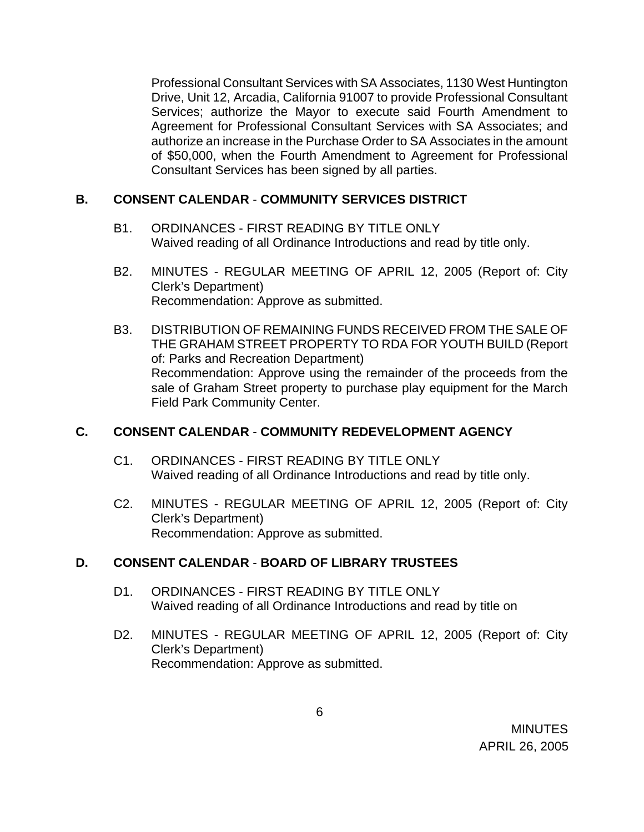Professional Consultant Services with SA Associates, 1130 West Huntington Drive, Unit 12, Arcadia, California 91007 to provide Professional Consultant Services; authorize the Mayor to execute said Fourth Amendment to Agreement for Professional Consultant Services with SA Associates; and authorize an increase in the Purchase Order to SA Associates in the amount of \$50,000, when the Fourth Amendment to Agreement for Professional Consultant Services has been signed by all parties.

# **B. CONSENT CALENDAR** - **COMMUNITY SERVICES DISTRICT**

- B1. ORDINANCES FIRST READING BY TITLE ONLY Waived reading of all Ordinance Introductions and read by title only.
- B2. MINUTES REGULAR MEETING OF APRIL 12, 2005 (Report of: City Clerk's Department) Recommendation: Approve as submitted.
- B3. DISTRIBUTION OF REMAINING FUNDS RECEIVED FROM THE SALE OF THE GRAHAM STREET PROPERTY TO RDA FOR YOUTH BUILD (Report of: Parks and Recreation Department) Recommendation: Approve using the remainder of the proceeds from the sale of Graham Street property to purchase play equipment for the March Field Park Community Center.

#### **C. CONSENT CALENDAR** - **COMMUNITY REDEVELOPMENT AGENCY**

- C1. ORDINANCES FIRST READING BY TITLE ONLY Waived reading of all Ordinance Introductions and read by title only.
- C2. MINUTES REGULAR MEETING OF APRIL 12, 2005 (Report of: City Clerk's Department) Recommendation: Approve as submitted.

# **D. CONSENT CALENDAR** - **BOARD OF LIBRARY TRUSTEES**

- D1. ORDINANCES FIRST READING BY TITLE ONLY Waived reading of all Ordinance Introductions and read by title on
- D2. MINUTES REGULAR MEETING OF APRIL 12, 2005 (Report of: City Clerk's Department) Recommendation: Approve as submitted.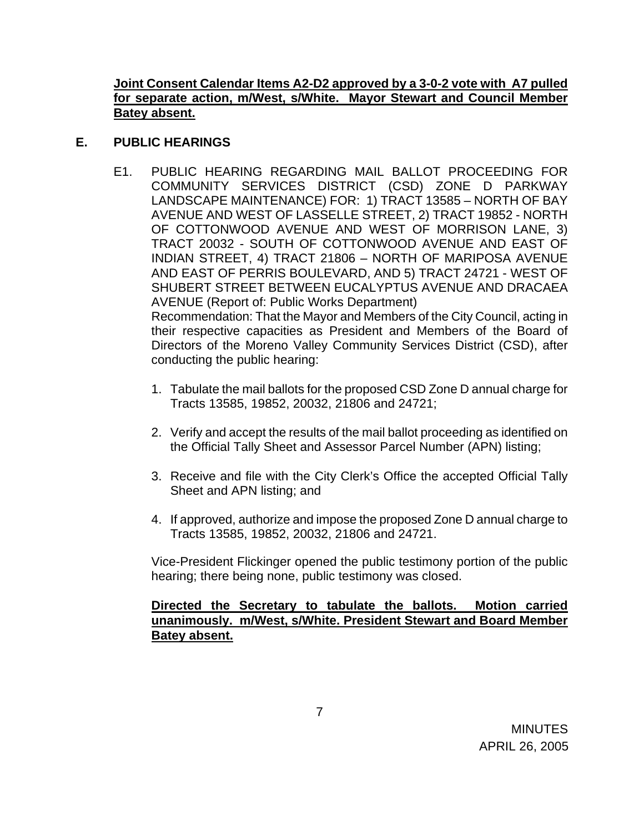## **Joint Consent Calendar Items A2-D2 approved by a 3-0-2 vote with A7 pulled for separate action, m/West, s/White. Mayor Stewart and Council Member Batey absent.**

# **E. PUBLIC HEARINGS**

E1. PUBLIC HEARING REGARDING MAIL BALLOT PROCEEDING FOR COMMUNITY SERVICES DISTRICT (CSD) ZONE D PARKWAY LANDSCAPE MAINTENANCE) FOR: 1) TRACT 13585 – NORTH OF BAY AVENUE AND WEST OF LASSELLE STREET, 2) TRACT 19852 - NORTH OF COTTONWOOD AVENUE AND WEST OF MORRISON LANE, 3) TRACT 20032 - SOUTH OF COTTONWOOD AVENUE AND EAST OF INDIAN STREET, 4) TRACT 21806 – NORTH OF MARIPOSA AVENUE AND EAST OF PERRIS BOULEVARD, AND 5) TRACT 24721 - WEST OF SHUBERT STREET BETWEEN EUCALYPTUS AVENUE AND DRACAEA AVENUE (Report of: Public Works Department) Recommendation: That the Mayor and Members of the City Council, acting in their respective capacities as President and Members of the Board of Directors of the Moreno Valley Community Services District (CSD), after

conducting the public hearing:

- 1. Tabulate the mail ballots for the proposed CSD Zone D annual charge for Tracts 13585, 19852, 20032, 21806 and 24721;
- 2. Verify and accept the results of the mail ballot proceeding as identified on the Official Tally Sheet and Assessor Parcel Number (APN) listing;
- 3. Receive and file with the City Clerk's Office the accepted Official Tally Sheet and APN listing; and
- 4. If approved, authorize and impose the proposed Zone D annual charge to Tracts 13585, 19852, 20032, 21806 and 24721.

 Vice-President Flickinger opened the public testimony portion of the public hearing; there being none, public testimony was closed.

# **Directed the Secretary to tabulate the ballots. Motion carried unanimously. m/West, s/White. President Stewart and Board Member Batey absent.**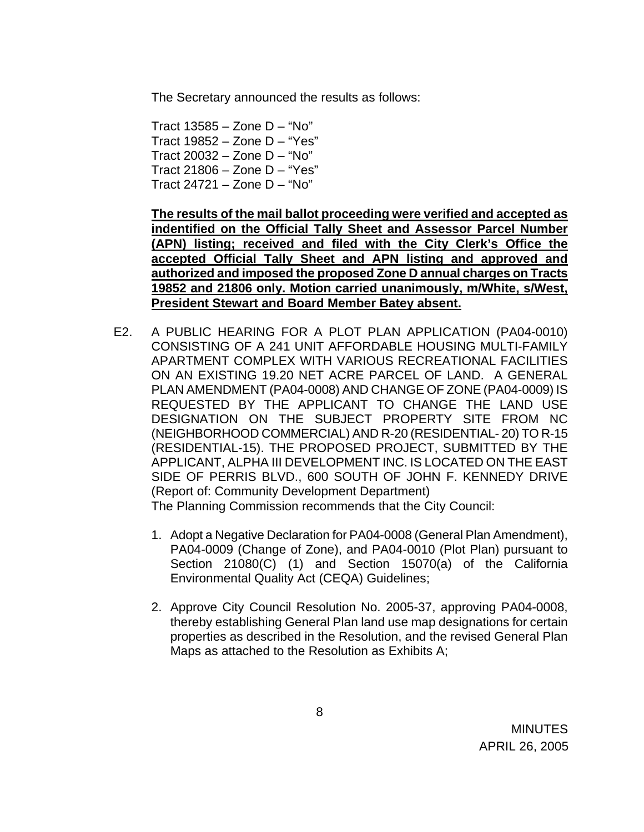The Secretary announced the results as follows:

 Tract 13585 – Zone D – "No" Tract 19852 – Zone D – "Yes" Tract 20032 – Zone D – "No" Tract 21806 – Zone D – "Yes" Tract 24721 – Zone D – "No"

**The results of the mail ballot proceeding were verified and accepted as indentified on the Official Tally Sheet and Assessor Parcel Number (APN) listing; received and filed with the City Clerk's Office the accepted Official Tally Sheet and APN listing and approved and authorized and imposed the proposed Zone D annual charges on Tracts 19852 and 21806 only. Motion carried unanimously, m/White, s/West, President Stewart and Board Member Batey absent.** 

E2. A PUBLIC HEARING FOR A PLOT PLAN APPLICATION (PA04-0010) CONSISTING OF A 241 UNIT AFFORDABLE HOUSING MULTI-FAMILY APARTMENT COMPLEX WITH VARIOUS RECREATIONAL FACILITIES ON AN EXISTING 19.20 NET ACRE PARCEL OF LAND. A GENERAL PLAN AMENDMENT (PA04-0008) AND CHANGE OF ZONE (PA04-0009) IS REQUESTED BY THE APPLICANT TO CHANGE THE LAND USE DESIGNATION ON THE SUBJECT PROPERTY SITE FROM NC (NEIGHBORHOOD COMMERCIAL) AND R-20 (RESIDENTIAL- 20) TO R-15 (RESIDENTIAL-15). THE PROPOSED PROJECT, SUBMITTED BY THE APPLICANT, ALPHA III DEVELOPMENT INC. IS LOCATED ON THE EAST SIDE OF PERRIS BLVD., 600 SOUTH OF JOHN F. KENNEDY DRIVE (Report of: Community Development Department)

The Planning Commission recommends that the City Council:

- 1. Adopt a Negative Declaration for PA04-0008 (General Plan Amendment), PA04-0009 (Change of Zone), and PA04-0010 (Plot Plan) pursuant to Section 21080(C) (1) and Section 15070(a) of the California Environmental Quality Act (CEQA) Guidelines;
- 2. Approve City Council Resolution No. 2005-37, approving PA04-0008, thereby establishing General Plan land use map designations for certain properties as described in the Resolution, and the revised General Plan Maps as attached to the Resolution as Exhibits A;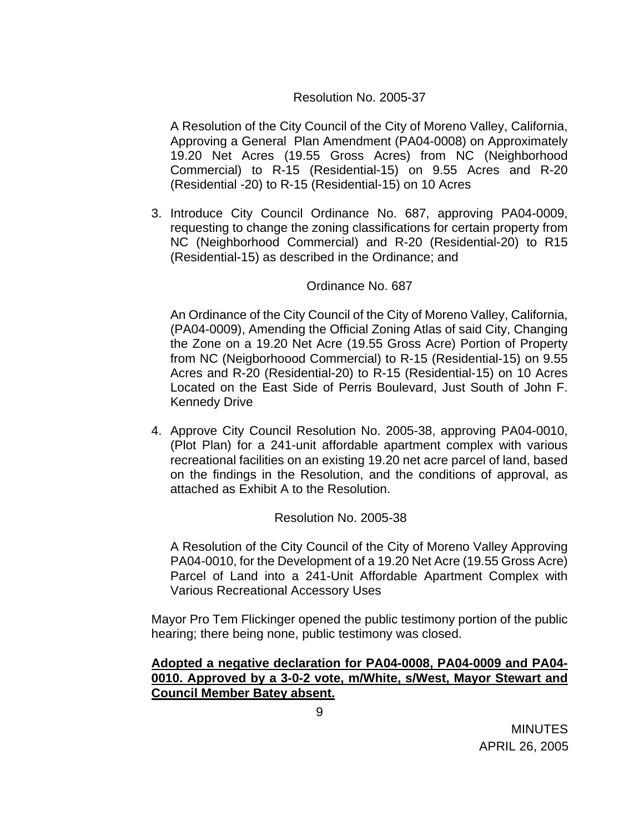# Resolution No. 2005-37

A Resolution of the City Council of the City of Moreno Valley, California, Approving a General Plan Amendment (PA04-0008) on Approximately 19.20 Net Acres (19.55 Gross Acres) from NC (Neighborhood Commercial) to R-15 (Residential-15) on 9.55 Acres and R-20 (Residential -20) to R-15 (Residential-15) on 10 Acres

3. Introduce City Council Ordinance No. 687, approving PA04-0009, requesting to change the zoning classifications for certain property from NC (Neighborhood Commercial) and R-20 (Residential-20) to R15 (Residential-15) as described in the Ordinance; and

#### Ordinance No. 687

An Ordinance of the City Council of the City of Moreno Valley, California, (PA04-0009), Amending the Official Zoning Atlas of said City, Changing the Zone on a 19.20 Net Acre (19.55 Gross Acre) Portion of Property from NC (Neigborhoood Commercial) to R-15 (Residential-15) on 9.55 Acres and R-20 (Residential-20) to R-15 (Residential-15) on 10 Acres Located on the East Side of Perris Boulevard, Just South of John F. Kennedy Drive

4. Approve City Council Resolution No. 2005-38, approving PA04-0010, (Plot Plan) for a 241-unit affordable apartment complex with various recreational facilities on an existing 19.20 net acre parcel of land, based on the findings in the Resolution, and the conditions of approval, as attached as Exhibit A to the Resolution.

#### Resolution No. 2005-38

A Resolution of the City Council of the City of Moreno Valley Approving PA04-0010, for the Development of a 19.20 Net Acre (19.55 Gross Acre) Parcel of Land into a 241-Unit Affordable Apartment Complex with Various Recreational Accessory Uses

 Mayor Pro Tem Flickinger opened the public testimony portion of the public hearing; there being none, public testimony was closed.

# **Adopted a negative declaration for PA04-0008, PA04-0009 and PA04- 0010. Approved by a 3-0-2 vote, m/White, s/West, Mayor Stewart and Council Member Batey absent.**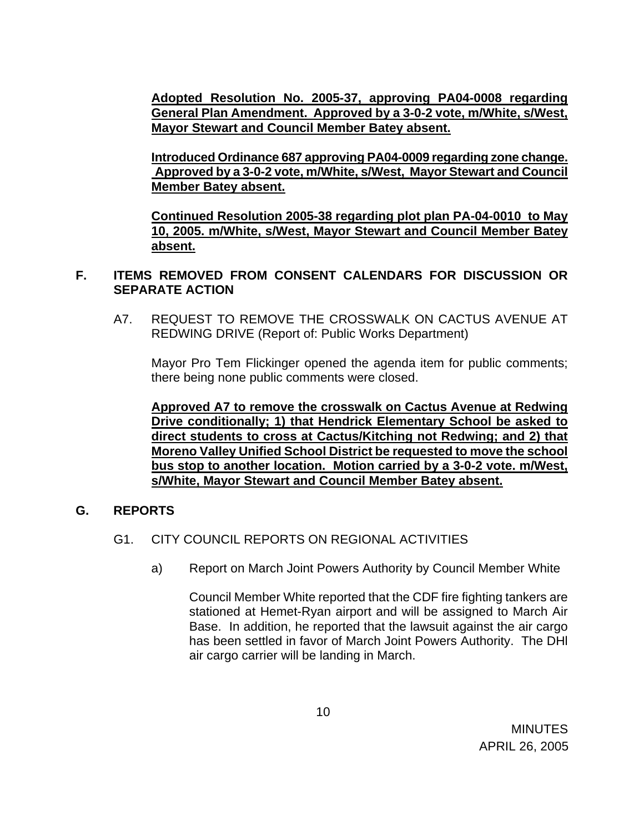**Adopted Resolution No. 2005-37, approving PA04-0008 regarding General Plan Amendment. Approved by a 3-0-2 vote, m/White, s/West, Mayor Stewart and Council Member Batey absent.** 

**Introduced Ordinance 687 approving PA04-0009 regarding zone change. Approved by a 3-0-2 vote, m/White, s/West, Mayor Stewart and Council Member Batey absent.** 

**Continued Resolution 2005-38 regarding plot plan PA-04-0010 to May 10, 2005. m/White, s/West, Mayor Stewart and Council Member Batey absent.** 

### **F. ITEMS REMOVED FROM CONSENT CALENDARS FOR DISCUSSION OR SEPARATE ACTION**

A7. REQUEST TO REMOVE THE CROSSWALK ON CACTUS AVENUE AT REDWING DRIVE (Report of: Public Works Department)

 Mayor Pro Tem Flickinger opened the agenda item for public comments; there being none public comments were closed.

**Approved A7 to remove the crosswalk on Cactus Avenue at Redwing Drive conditionally; 1) that Hendrick Elementary School be asked to direct students to cross at Cactus/Kitching not Redwing; and 2) that Moreno Valley Unified School District be requested to move the school bus stop to another location. Motion carried by a 3-0-2 vote. m/West, s/White, Mayor Stewart and Council Member Batey absent.** 

# **G. REPORTS**

# G1. CITY COUNCIL REPORTS ON REGIONAL ACTIVITIES

a) Report on March Joint Powers Authority by Council Member White

Council Member White reported that the CDF fire fighting tankers are stationed at Hemet-Ryan airport and will be assigned to March Air Base. In addition, he reported that the lawsuit against the air cargo has been settled in favor of March Joint Powers Authority. The DHl air cargo carrier will be landing in March.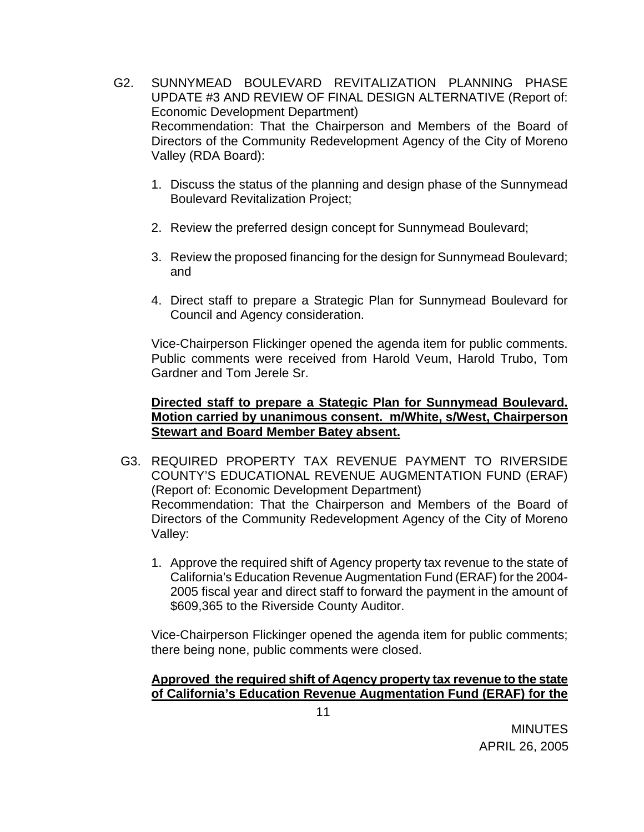- G2. SUNNYMEAD BOULEVARD REVITALIZATION PLANNING PHASE UPDATE #3 AND REVIEW OF FINAL DESIGN ALTERNATIVE (Report of: Economic Development Department) Recommendation: That the Chairperson and Members of the Board of Directors of the Community Redevelopment Agency of the City of Moreno Valley (RDA Board):
	- 1. Discuss the status of the planning and design phase of the Sunnymead Boulevard Revitalization Project;
	- 2. Review the preferred design concept for Sunnymead Boulevard;
	- 3. Review the proposed financing for the design for Sunnymead Boulevard; and
	- 4. Direct staff to prepare a Strategic Plan for Sunnymead Boulevard for Council and Agency consideration.

Vice-Chairperson Flickinger opened the agenda item for public comments. Public comments were received from Harold Veum, Harold Trubo, Tom Gardner and Tom Jerele Sr.

# **Directed staff to prepare a Stategic Plan for Sunnymead Boulevard. Motion carried by unanimous consent. m/White, s/West, Chairperson Stewart and Board Member Batey absent.**

- G3. REQUIRED PROPERTY TAX REVENUE PAYMENT TO RIVERSIDE COUNTY'S EDUCATIONAL REVENUE AUGMENTATION FUND (ERAF) (Report of: Economic Development Department) Recommendation: That the Chairperson and Members of the Board of Directors of the Community Redevelopment Agency of the City of Moreno Valley:
	- 1. Approve the required shift of Agency property tax revenue to the state of California's Education Revenue Augmentation Fund (ERAF) for the 2004- 2005 fiscal year and direct staff to forward the payment in the amount of \$609,365 to the Riverside County Auditor.

Vice-Chairperson Flickinger opened the agenda item for public comments; there being none, public comments were closed.

# **Approved the required shift of Agency property tax revenue to the state of California's Education Revenue Augmentation Fund (ERAF) for the**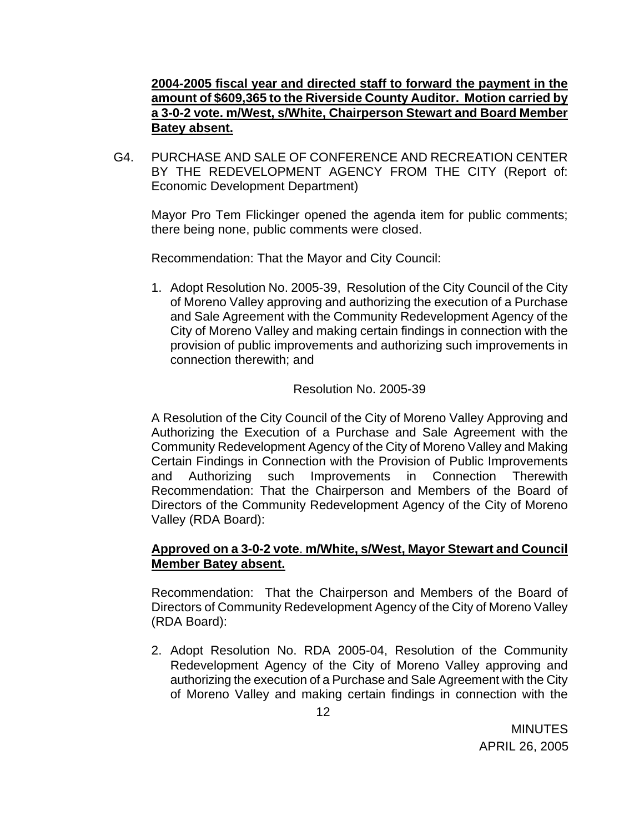# **2004-2005 fiscal year and directed staff to forward the payment in the amount of \$609,365 to the Riverside County Auditor. Motion carried by a 3-0-2 vote. m/West, s/White, Chairperson Stewart and Board Member Batey absent.**

G4. PURCHASE AND SALE OF CONFERENCE AND RECREATION CENTER BY THE REDEVELOPMENT AGENCY FROM THE CITY (Report of: Economic Development Department)

Mayor Pro Tem Flickinger opened the agenda item for public comments; there being none, public comments were closed.

Recommendation: That the Mayor and City Council:

1. Adopt Resolution No. 2005-39, Resolution of the City Council of the City of Moreno Valley approving and authorizing the execution of a Purchase and Sale Agreement with the Community Redevelopment Agency of the City of Moreno Valley and making certain findings in connection with the provision of public improvements and authorizing such improvements in connection therewith; and

#### Resolution No. 2005-39

A Resolution of the City Council of the City of Moreno Valley Approving and Authorizing the Execution of a Purchase and Sale Agreement with the Community Redevelopment Agency of the City of Moreno Valley and Making Certain Findings in Connection with the Provision of Public Improvements and Authorizing such Improvements in Connection Therewith Recommendation: That the Chairperson and Members of the Board of Directors of the Community Redevelopment Agency of the City of Moreno Valley (RDA Board):

# **Approved on a 3-0-2 vote**. **m/White, s/West, Mayor Stewart and Council Member Batey absent.**

Recommendation: That the Chairperson and Members of the Board of Directors of Community Redevelopment Agency of the City of Moreno Valley (RDA Board):

2. Adopt Resolution No. RDA 2005-04, Resolution of the Community Redevelopment Agency of the City of Moreno Valley approving and authorizing the execution of a Purchase and Sale Agreement with the City of Moreno Valley and making certain findings in connection with the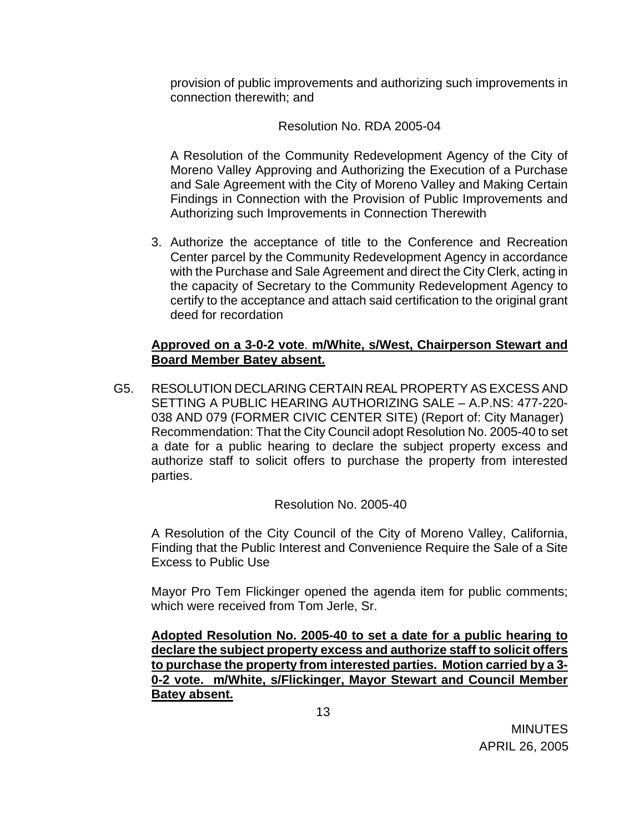provision of public improvements and authorizing such improvements in connection therewith; and

## Resolution No. RDA 2005-04

A Resolution of the Community Redevelopment Agency of the City of Moreno Valley Approving and Authorizing the Execution of a Purchase and Sale Agreement with the City of Moreno Valley and Making Certain Findings in Connection with the Provision of Public Improvements and Authorizing such Improvements in Connection Therewith

3. Authorize the acceptance of title to the Conference and Recreation Center parcel by the Community Redevelopment Agency in accordance with the Purchase and Sale Agreement and direct the City Clerk, acting in the capacity of Secretary to the Community Redevelopment Agency to certify to the acceptance and attach said certification to the original grant deed for recordation

## **Approved on a 3-0-2 vote**. **m/White, s/West, Chairperson Stewart and Board Member Batey absent.**

G5. RESOLUTION DECLARING CERTAIN REAL PROPERTY AS EXCESS AND SETTING A PUBLIC HEARING AUTHORIZING SALE – A.P.NS: 477-220- 038 AND 079 (FORMER CIVIC CENTER SITE) (Report of: City Manager) Recommendation: That the City Council adopt Resolution No. 2005-40 to set a date for a public hearing to declare the subject property excess and authorize staff to solicit offers to purchase the property from interested parties.

# Resolution No. 2005-40

A Resolution of the City Council of the City of Moreno Valley, California, Finding that the Public Interest and Convenience Require the Sale of a Site Excess to Public Use

Mayor Pro Tem Flickinger opened the agenda item for public comments; which were received from Tom Jerle, Sr.

**Adopted Resolution No. 2005-40 to set a date for a public hearing to declare the subject property excess and authorize staff to solicit offers to purchase the property from interested parties. Motion carried by a 3- 0-2 vote. m/White, s/Flickinger, Mayor Stewart and Council Member Batey absent.**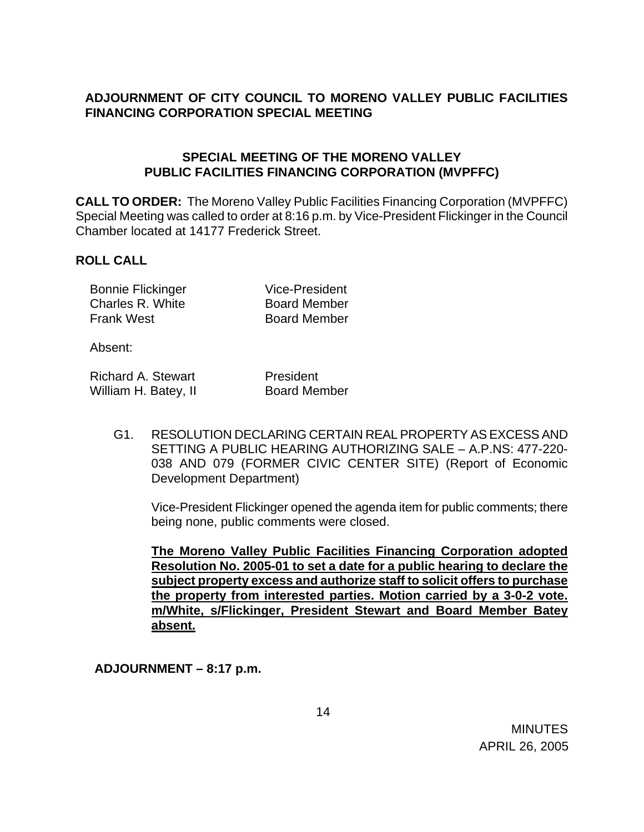# **ADJOURNMENT OF CITY COUNCIL TO MORENO VALLEY PUBLIC FACILITIES FINANCING CORPORATION SPECIAL MEETING**

# **SPECIAL MEETING OF THE MORENO VALLEY PUBLIC FACILITIES FINANCING CORPORATION (MVPFFC)**

**CALL TO ORDER:** The Moreno Valley Public Facilities Financing Corporation (MVPFFC) Special Meeting was called to order at 8:16 p.m. by Vice-President Flickinger in the Council Chamber located at 14177 Frederick Street.

#### **ROLL CALL**

| <b>Bonnie Flickinger</b> | <b>Vice-President</b> |
|--------------------------|-----------------------|
| Charles R. White         | <b>Board Member</b>   |
| <b>Frank West</b>        | <b>Board Member</b>   |

Absent:

| <b>Richard A. Stewart</b> | President           |
|---------------------------|---------------------|
| William H. Batey, II      | <b>Board Member</b> |

G1. RESOLUTION DECLARING CERTAIN REAL PROPERTY AS EXCESS AND SETTING A PUBLIC HEARING AUTHORIZING SALE – A.P.NS: 477-220- 038 AND 079 (FORMER CIVIC CENTER SITE) (Report of Economic Development Department)

Vice-President Flickinger opened the agenda item for public comments; there being none, public comments were closed.

**The Moreno Valley Public Facilities Financing Corporation adopted Resolution No. 2005-01 to set a date for a public hearing to declare the subject property excess and authorize staff to solicit offers to purchase the property from interested parties. Motion carried by a 3-0-2 vote. m/White, s/Flickinger, President Stewart and Board Member Batey absent.** 

**ADJOURNMENT – 8:17 p.m.**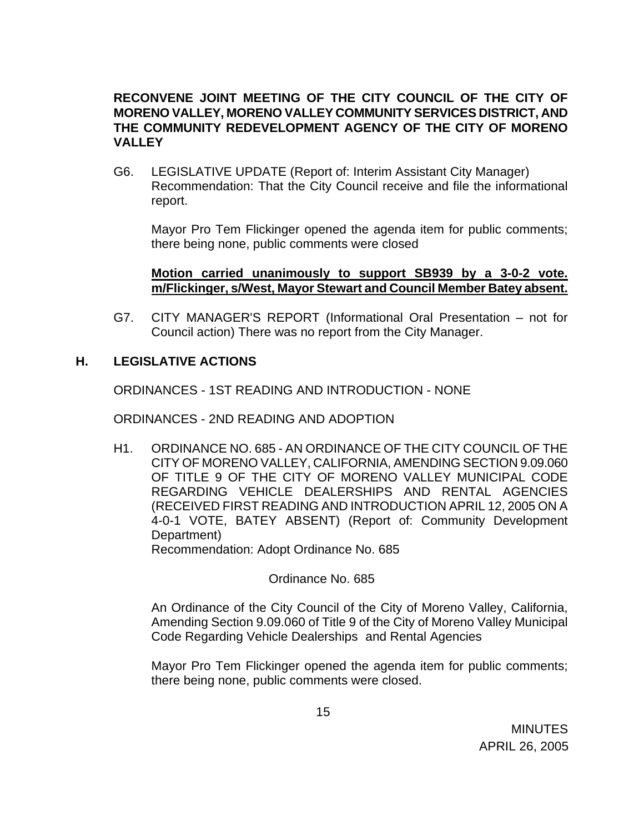# **RECONVENE JOINT MEETING OF THE CITY COUNCIL OF THE CITY OF MORENO VALLEY, MORENO VALLEY COMMUNITY SERVICES DISTRICT, AND THE COMMUNITY REDEVELOPMENT AGENCY OF THE CITY OF MORENO VALLEY**

G6. LEGISLATIVE UPDATE (Report of: Interim Assistant City Manager) Recommendation: That the City Council receive and file the informational report.

 Mayor Pro Tem Flickinger opened the agenda item for public comments; there being none, public comments were closed

#### **Motion carried unanimously to support SB939 by a 3-0-2 vote. m/Flickinger, s/West, Mayor Stewart and Council Member Batey absent.**

G7. CITY MANAGER'S REPORT (Informational Oral Presentation – not for Council action) There was no report from the City Manager.

# **H. LEGISLATIVE ACTIONS**

ORDINANCES - 1ST READING AND INTRODUCTION - NONE

ORDINANCES - 2ND READING AND ADOPTION

H1. ORDINANCE NO. 685 - AN ORDINANCE OF THE CITY COUNCIL OF THE CITY OF MORENO VALLEY, CALIFORNIA, AMENDING SECTION 9.09.060 OF TITLE 9 OF THE CITY OF MORENO VALLEY MUNICIPAL CODE REGARDING VEHICLE DEALERSHIPS AND RENTAL AGENCIES (RECEIVED FIRST READING AND INTRODUCTION APRIL 12, 2005 ON A 4-0-1 VOTE, BATEY ABSENT) (Report of: Community Development Department)

Recommendation: Adopt Ordinance No. 685

Ordinance No. 685

 An Ordinance of the City Council of the City of Moreno Valley, California, Amending Section 9.09.060 of Title 9 of the City of Moreno Valley Municipal Code Regarding Vehicle Dealerships and Rental Agencies

Mayor Pro Tem Flickinger opened the agenda item for public comments; there being none, public comments were closed.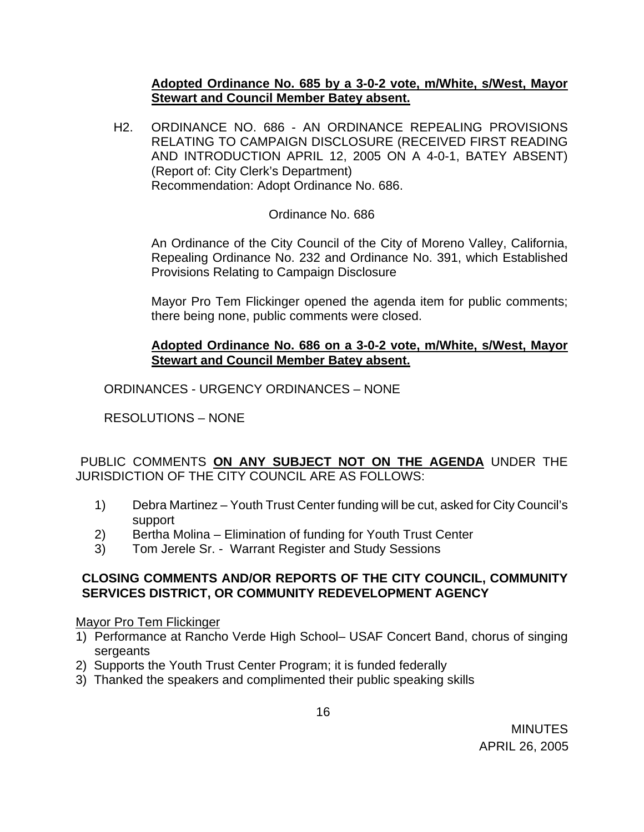#### **Adopted Ordinance No. 685 by a 3-0-2 vote, m/White, s/West, Mayor Stewart and Council Member Batey absent.**

H2. ORDINANCE NO. 686 - AN ORDINANCE REPEALING PROVISIONS RELATING TO CAMPAIGN DISCLOSURE (RECEIVED FIRST READING AND INTRODUCTION APRIL 12, 2005 ON A 4-0-1, BATEY ABSENT) (Report of: City Clerk's Department) Recommendation: Adopt Ordinance No. 686.

# Ordinance No. 686

 An Ordinance of the City Council of the City of Moreno Valley, California, Repealing Ordinance No. 232 and Ordinance No. 391, which Established Provisions Relating to Campaign Disclosure

Mayor Pro Tem Flickinger opened the agenda item for public comments; there being none, public comments were closed.

## **Adopted Ordinance No. 686 on a 3-0-2 vote, m/White, s/West, Mayor Stewart and Council Member Batey absent.**

ORDINANCES - URGENCY ORDINANCES – NONE

RESOLUTIONS – NONE

#### PUBLIC COMMENTS **ON ANY SUBJECT NOT ON THE AGENDA** UNDER THE JURISDICTION OF THE CITY COUNCIL ARE AS FOLLOWS:

- 1) Debra Martinez Youth Trust Center funding will be cut, asked for City Council's support
- 2) Bertha Molina Elimination of funding for Youth Trust Center
- 3) Tom Jerele Sr. Warrant Register and Study Sessions

#### **CLOSING COMMENTS AND/OR REPORTS OF THE CITY COUNCIL, COMMUNITY SERVICES DISTRICT, OR COMMUNITY REDEVELOPMENT AGENCY**

Mayor Pro Tem Flickinger

- 1) Performance at Rancho Verde High School– USAF Concert Band, chorus of singing sergeants
- 2) Supports the Youth Trust Center Program; it is funded federally
- 3) Thanked the speakers and complimented their public speaking skills